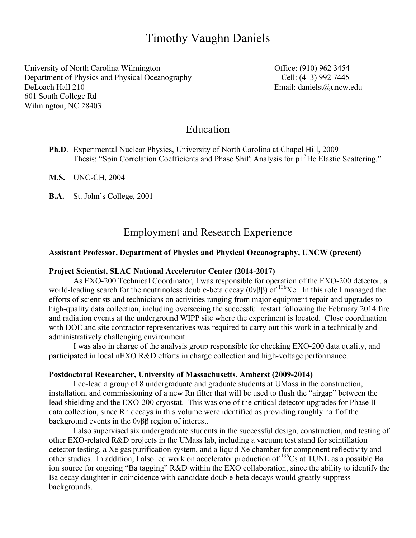# Timothy Vaughn Daniels

University of North Carolina Wilmington **Office**: (910) 962 3454 Department of Physics and Physical Oceanography Cell: (413) 992 7445 DeLoach Hall 210 Email: danielst@uncw.edu 601 South College Rd Wilmington, NC 28403

## Education

- **Ph.D**. Experimental Nuclear Physics, University of North Carolina at Chapel Hill, 2009 Thesis: "Spin Correlation Coefficients and Phase Shift Analysis for p+<sup>3</sup>He Elastic Scattering."
- **M.S.** UNC-CH, 2004
- **B.A.** St. John's College, 2001

## Employment and Research Experience

#### **Assistant Professor, Department of Physics and Physical Oceanography, UNCW (present)**

#### **Project Scientist, SLAC National Accelerator Center (2014-2017)**

As EXO-200 Technical Coordinator, I was responsible for operation of the EXO-200 detector, a world-leading search for the neutrinoless double-beta decay ( $0\nu\beta\beta$ ) of  $^{136}Xe$ . In this role I managed the efforts of scientists and technicians on activities ranging from major equipment repair and upgrades to high-quality data collection, including overseeing the successful restart following the February 2014 fire and radiation events at the underground WIPP site where the experiment is located. Close coordination with DOE and site contractor representatives was required to carry out this work in a technically and administratively challenging environment.

I was also in charge of the analysis group responsible for checking EXO-200 data quality, and participated in local nEXO R&D efforts in charge collection and high-voltage performance.

#### **Postdoctoral Researcher, University of Massachusetts, Amherst (2009-2014)**

I co-lead a group of 8 undergraduate and graduate students at UMass in the construction, installation, and commissioning of a new Rn filter that will be used to flush the "airgap" between the lead shielding and the EXO-200 cryostat. This was one of the critical detector upgrades for Phase II data collection, since Rn decays in this volume were identified as providing roughly half of the background events in the 0νββ region of interest.

I also supervised six undergraduate students in the successful design, construction, and testing of other EXO-related R&D projects in the UMass lab, including a vacuum test stand for scintillation detector testing, a Xe gas purification system, and a liquid Xe chamber for component reflectivity and other studies. In addition, I also led work on accelerator production of 136Cs at TUNL as a possible Ba ion source for ongoing "Ba tagging" R&D within the EXO collaboration, since the ability to identify the Ba decay daughter in coincidence with candidate double-beta decays would greatly suppress backgrounds.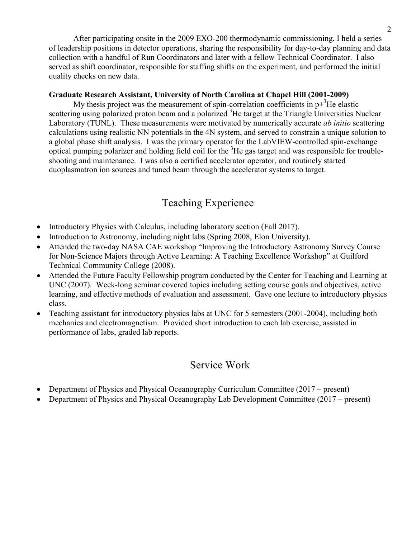After participating onsite in the 2009 EXO-200 thermodynamic commissioning, I held a series of leadership positions in detector operations, sharing the responsibility for day-to-day planning and data collection with a handful of Run Coordinators and later with a fellow Technical Coordinator. I also served as shift coordinator, responsible for staffing shifts on the experiment, and performed the initial quality checks on new data.

### **Graduate Research Assistant, University of North Carolina at Chapel Hill (2001-2009)**

My thesis project was the measurement of spin-correlation coefficients in  $p+{}^{3}$ He elastic scattering using polarized proton beam and a polarized <sup>3</sup>He target at the Triangle Universities Nuclear Laboratory (TUNL). These measurements were motivated by numerically accurate *ab initio* scattering calculations using realistic NN potentials in the 4N system, and served to constrain a unique solution to a global phase shift analysis. I was the primary operator for the LabVIEW-controlled spin-exchange optical pumping polarizer and holding field coil for the  ${}^{3}$ He gas target and was responsible for troubleshooting and maintenance. I was also a certified accelerator operator, and routinely started duoplasmatron ion sources and tuned beam through the accelerator systems to target.

# Teaching Experience

- Introductory Physics with Calculus, including laboratory section (Fall 2017).
- Introduction to Astronomy, including night labs (Spring 2008, Elon University).
- Attended the two-day NASA CAE workshop "Improving the Introductory Astronomy Survey Course for Non-Science Majors through Active Learning: A Teaching Excellence Workshop" at Guilford Technical Community College (2008).
- Attended the Future Faculty Fellowship program conducted by the Center for Teaching and Learning at UNC (2007). Week-long seminar covered topics including setting course goals and objectives, active learning, and effective methods of evaluation and assessment. Gave one lecture to introductory physics class.
- Teaching assistant for introductory physics labs at UNC for 5 semesters (2001-2004), including both mechanics and electromagnetism. Provided short introduction to each lab exercise, assisted in performance of labs, graded lab reports.

# Service Work

- Department of Physics and Physical Oceanography Curriculum Committee (2017 present)
- Department of Physics and Physical Oceanography Lab Development Committee (2017 present)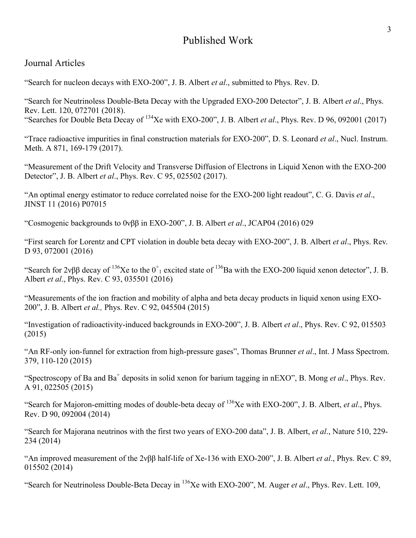# Published Work

## Journal Articles

"Search for nucleon decays with EXO-200", J. B. Albert *et al*., submitted to Phys. Rev. D.

"Search for Neutrinoless Double-Beta Decay with the Upgraded EXO-200 Detector", J. B. Albert *et al*., Phys. Rev. Lett. 120, 072701 (2018).

"Searches for Double Beta Decay of 134Xe with EXO-200", J. B. Albert *et al*., Phys. Rev. D 96, 092001 (2017)

"Trace radioactive impurities in final construction materials for EXO-200", D. S. Leonard *et al*., Nucl. Instrum. Meth. A 871, 169-179 (2017).

"Measurement of the Drift Velocity and Transverse Diffusion of Electrons in Liquid Xenon with the EXO-200 Detector", J. B. Albert *et al*., Phys. Rev. C 95, 025502 (2017).

"An optimal energy estimator to reduce correlated noise for the EXO-200 light readout", C. G. Davis *et al*., JINST 11 (2016) P07015

"Cosmogenic backgrounds to 0νββ in EXO-200", J. B. Albert *et al*., JCAP04 (2016) 029

"First search for Lorentz and CPT violation in double beta decay with EXO-200", J. B. Albert *et al*., Phys. Rev. D 93, 072001 (2016)

"Search for  $2\nu\beta\beta$  decay of <sup>136</sup>Xe to the  $0^+$ <sub>1</sub> excited state of <sup>136</sup>Ba with the EXO-200 liquid xenon detector", J. B. Albert *et al*., Phys. Rev. C 93, 035501 (2016)

"Measurements of the ion fraction and mobility of alpha and beta decay products in liquid xenon using EXO-200", J. B. Albert *et al.,* Phys. Rev. C 92, 045504 (2015)

"Investigation of radioactivity-induced backgrounds in EXO-200", J. B. Albert *et al*., Phys. Rev. C 92, 015503 (2015)

"An RF-only ion-funnel for extraction from high-pressure gases", Thomas Brunner *et al*., Int. J Mass Spectrom. 379, 110-120 (2015)

"Spectroscopy of Ba and Ba<sup>+</sup> deposits in solid xenon for barium tagging in nEXO", B. Mong *et al.*, Phys. Rev. A 91, 022505 (2015)

"Search for Majoron-emitting modes of double-beta decay of 136Xe with EXO-200", J. B. Albert, *et al*., Phys. Rev. D 90, 092004 (2014)

"Search for Majorana neutrinos with the first two years of EXO-200 data", J. B. Albert, *et al*., Nature 510, 229- 234 (2014)

"An improved measurement of the 2νββ half-life of Xe-136 with EXO-200", J. B. Albert *et al*., Phys. Rev. C 89, 015502 (2014)

"Search for Neutrinoless Double-Beta Decay in 136Xe with EXO-200", M. Auger *et al*., Phys. Rev. Lett. 109,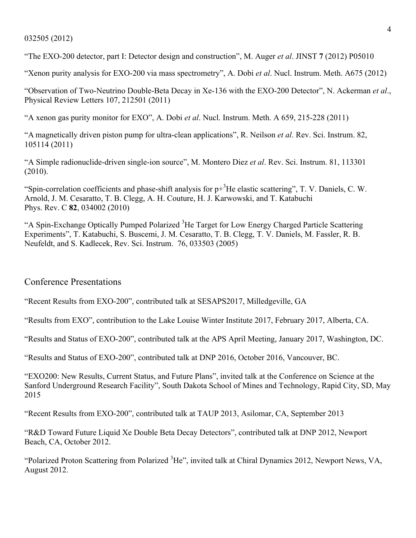#### 032505 (2012)

"The EXO-200 detector, part I: Detector design and construction", M. Auger *et al*. JINST **7** (2012) P05010

"Xenon purity analysis for EXO-200 via mass spectrometry", A. Dobi *et al*. Nucl. Instrum. Meth. A675 (2012)

"Observation of Two-Neutrino Double-Beta Decay in Xe-136 with the EXO-200 Detector", N. Ackerman *et al*., Physical Review Letters 107, 212501 (2011)

"A xenon gas purity monitor for EXO", A. Dobi *et al*. Nucl. Instrum. Meth. A 659, 215-228 (2011)

"A magnetically driven piston pump for ultra-clean applications", R. Neilson *et al*. Rev. Sci. Instrum. 82, 105114 (2011)

"A Simple radionuclide-driven single-ion source", M. Montero Diez *et al*. Rev. Sci. Instrum. 81, 113301 (2010).

"Spin-correlation coefficients and phase-shift analysis for  $p+{}^{3}$ He elastic scattering", T. V. Daniels, C. W. Arnold, J. M. Cesaratto, T. B. Clegg, A. H. Couture, H. J. Karwowski, and T. Katabuchi Phys. Rev. C **82**, 034002 (2010)

"A Spin-Exchange Optically Pumped Polarized <sup>3</sup>He Target for Low Energy Charged Particle Scattering Experiments", T. Katabuchi, S. Buscemi, J. M. Cesaratto, T. B. Clegg, T. V. Daniels, M. Fassler, R. B. Neufeldt, and S. Kadlecek, Rev. Sci. Instrum. 76, 033503 (2005)

### Conference Presentations

"Recent Results from EXO-200", contributed talk at SESAPS2017, Milledgeville, GA

"Results from EXO", contribution to the Lake Louise Winter Institute 2017, February 2017, Alberta, CA.

"Results and Status of EXO-200", contributed talk at the APS April Meeting, January 2017, Washington, DC.

"Results and Status of EXO-200", contributed talk at DNP 2016, October 2016, Vancouver, BC.

"EXO200: New Results, Current Status, and Future Plans", invited talk at the Conference on Science at the Sanford Underground Research Facility", South Dakota School of Mines and Technology, Rapid City, SD, May 2015

"Recent Results from EXO-200", contributed talk at TAUP 2013, Asilomar, CA, September 2013

"R&D Toward Future Liquid Xe Double Beta Decay Detectors", contributed talk at DNP 2012, Newport Beach, CA, October 2012.

"Polarized Proton Scattering from Polarized <sup>3</sup>He", invited talk at Chiral Dynamics 2012, Newport News, VA, August 2012.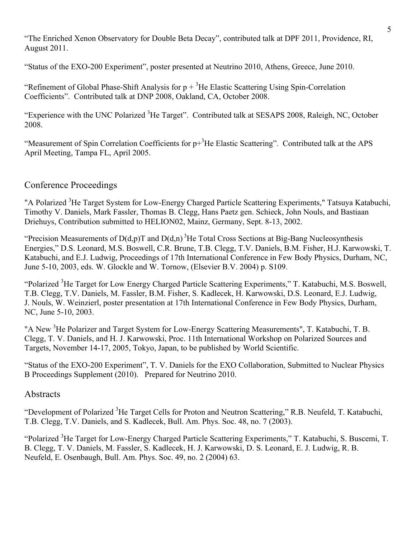"The Enriched Xenon Observatory for Double Beta Decay", contributed talk at DPF 2011, Providence, RI, August 2011.

"Status of the EXO-200 Experiment", poster presented at Neutrino 2010, Athens, Greece, June 2010.

"Refinement of Global Phase-Shift Analysis for  $p + {}^{3}He$  Elastic Scattering Using Spin-Correlation Coefficients". Contributed talk at DNP 2008, Oakland, CA, October 2008.

"Experience with the UNC Polarized <sup>3</sup>He Target". Contributed talk at SESAPS 2008, Raleigh, NC, October 2008.

"Measurement of Spin Correlation Coefficients for  $p+{}^{3}$ He Elastic Scattering". Contributed talk at the APS April Meeting, Tampa FL, April 2005.

### Conference Proceedings

"A Polarized <sup>3</sup>He Target System for Low-Energy Charged Particle Scattering Experiments," Tatsuya Katabuchi, Timothy V. Daniels, Mark Fassler, Thomas B. Clegg, Hans Paetz gen. Schieck, John Nouls, and Bastiaan Driehuys, Contribution submitted to HELION02, Mainz, Germany, Sept. 8-13, 2002.

"Precision Measurements of  $D(d,p)T$  and  $D(d,n)$ <sup>3</sup>He Total Cross Sections at Big-Bang Nucleosynthesis Energies," D.S. Leonard, M.S. Boswell, C.R. Brune, T.B. Clegg, T.V. Daniels, B.M. Fisher, H.J. Karwowski, T. Katabuchi, and E.J. Ludwig, Proceedings of 17th International Conference in Few Body Physics, Durham, NC, June 5-10, 2003, eds. W. Glockle and W. Tornow, (Elsevier B.V. 2004) p. S109.

"Polarized <sup>3</sup>He Target for Low Energy Charged Particle Scattering Experiments," T. Katabuchi, M.S. Boswell, T.B. Clegg, T.V. Daniels, M. Fassler, B.M. Fisher, S. Kadlecek, H. Karwowski, D.S. Leonard, E.J. Ludwig, J. Nouls, W. Weinzierl, poster presentation at 17th International Conference in Few Body Physics, Durham, NC, June 5-10, 2003.

"A New <sup>3</sup>He Polarizer and Target System for Low-Energy Scattering Measurements", T. Katabuchi, T. B. Clegg, T. V. Daniels, and H. J. Karwowski, Proc. 11th International Workshop on Polarized Sources and Targets, November 14-17, 2005, Tokyo, Japan, to be published by World Scientific.

"Status of the EXO-200 Experiment", T. V. Daniels for the EXO Collaboration, Submitted to Nuclear Physics B Proceedings Supplement (2010). Prepared for Neutrino 2010.

### **Abstracts**

"Development of Polarized <sup>3</sup>He Target Cells for Proton and Neutron Scattering," R.B. Neufeld, T. Katabuchi, T.B. Clegg, T.V. Daniels, and S. Kadlecek, Bull. Am. Phys. Soc. 48, no. 7 (2003).

"Polarized <sup>3</sup>He Target for Low-Energy Charged Particle Scattering Experiments," T. Katabuchi, S. Buscemi, T. B. Clegg, T. V. Daniels, M. Fassler, S. Kadlecek, H. J. Karwowski, D. S. Leonard, E. J. Ludwig, R. B. Neufeld, E. Osenbaugh, Bull. Am. Phys. Soc. 49, no. 2 (2004) 63.